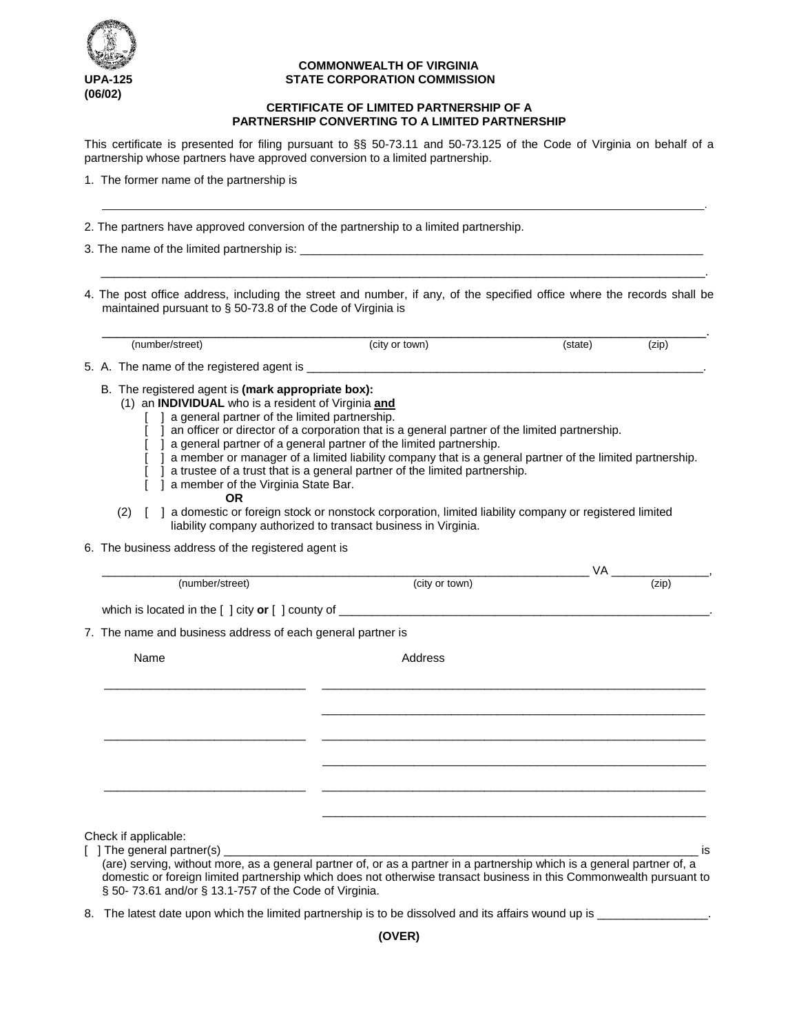

## **COMMONWEALTH OF VIRGINIA UPA-125 STATE CORPORATION COMMISSION**

## **CERTIFICATE OF LIMITED PARTNERSHIP OF A PARTNERSHIP CONVERTING TO A LIMITED PARTNERSHIP**

This certificate is presented for filing pursuant to §§ 50-73.11 and 50-73.125 of the Code of Virginia on behalf of a partnership whose partners have approved conversion to a limited partnership.

\_\_\_\_\_\_\_\_\_\_\_\_\_\_\_\_\_\_\_\_\_\_\_\_\_\_\_\_\_\_\_\_\_\_\_\_\_\_\_\_\_\_\_\_\_\_\_\_\_\_\_\_\_\_\_\_\_\_\_\_\_\_\_\_\_\_\_\_\_\_\_\_\_\_\_\_\_\_\_\_\_\_\_\_\_\_\_\_\_\_\_\_\_\_\_\_\_\_\_\_\_\_\_\_.

1. The former name of the partnership is

2. The partners have approved conversion of the partnership to a limited partnership.

3. The name of the limited partnership is:  $\Box$ 

4. The post office address, including the street and number, if any, of the specified office where the records shall be maintained pursuant to § 50-73.8 of the Code of Virginia is

 $\overline{\phantom{a}}$  , and the set of the set of the set of the set of the set of the set of the set of the set of the set of the set of the set of the set of the set of the set of the set of the set of the set of the set of the s

\_\_\_\_\_\_\_\_\_\_\_\_\_\_\_\_\_\_\_\_\_\_\_\_\_\_\_\_\_\_\_\_\_\_\_\_\_\_\_\_\_\_\_\_\_\_\_\_\_\_\_\_\_\_\_\_\_\_\_\_\_\_\_\_\_\_\_\_\_\_\_\_\_\_\_\_\_\_\_\_\_\_\_. (number/street) (city or town) (state) (zip) 5. A. The name of the registered agent is \_\_\_\_\_\_\_ B. The registered agent is **(mark appropriate box):** (1) an **INDIVIDUAL** who is a resident of Virginia **and** [ ] a general partner of the limited partnership. [ ] an officer or director of a corporation that is a general partner of the limited partnership. [ ] a general partner of a general partner of the limited partnership. [ ] a member or manager of a limited liability company that is a general partner of the limited partnership. [ ] a trustee of a trust that is a general partner of the limited partnership. [ ] a member of the Virginia State Bar. **OR** (2) [ ] a domestic or foreign stock or nonstock corporation, limited liability company or registered limited liability company authorized to transact business in Virginia. 6. The business address of the registered agent is  $V$ A  $\frac{1}{(zip)}$ (number/street) which is located in the [ ] city **or** [ ] county of \_\_\_\_\_\_\_\_\_\_\_\_\_\_\_\_\_\_\_\_\_\_\_\_\_\_\_\_\_\_\_\_\_\_\_\_\_\_\_\_\_\_\_\_\_\_\_\_\_\_\_\_\_\_\_\_\_. 7. The name and business address of each general partner is Name Address \_\_\_\_\_\_\_\_\_\_\_\_\_\_\_\_\_\_\_\_\_\_\_\_\_\_\_\_\_\_\_ \_\_\_\_\_\_\_\_\_\_\_\_\_\_\_\_\_\_\_\_\_\_\_\_\_\_\_\_\_\_\_\_\_\_\_\_\_\_\_\_\_\_\_\_\_\_\_\_\_\_\_\_\_\_\_\_\_\_\_

Check if applicable:

 $\lceil$  ] The general partner(s) (are) serving, without more, as a general partner of, or as a partner in a partnership which is a general partner of, a domestic or foreign limited partnership which does not otherwise transact business in this Commonwealth pursuant to § 50- 73.61 and/or § 13.1-757 of the Code of Virginia.

\_\_\_\_\_\_\_\_\_\_\_\_\_\_\_\_\_\_\_\_\_\_\_\_\_\_\_\_\_\_\_ \_\_\_\_\_\_\_\_\_\_\_\_\_\_\_\_\_\_\_\_\_\_\_\_\_\_\_\_\_\_\_\_\_\_\_\_\_\_\_\_\_\_\_\_\_\_\_\_\_\_\_\_\_\_\_\_\_\_\_

\_\_\_\_\_\_\_\_\_\_\_\_\_\_\_\_\_\_\_\_\_\_\_\_\_\_\_\_\_\_\_ \_\_\_\_\_\_\_\_\_\_\_\_\_\_\_\_\_\_\_\_\_\_\_\_\_\_\_\_\_\_\_\_\_\_\_\_\_\_\_\_\_\_\_\_\_\_\_\_\_\_\_\_\_\_\_\_\_\_\_

 $\_$ 

\_\_\_\_\_\_\_\_\_\_\_\_\_\_\_\_\_\_\_\_\_\_\_\_\_\_\_\_\_\_\_\_\_\_\_\_\_\_\_\_\_\_\_\_\_\_\_\_\_\_\_\_\_\_\_\_\_\_\_

\_\_\_\_\_\_\_\_\_\_\_\_\_\_\_\_\_\_\_\_\_\_\_\_\_\_\_\_\_\_\_\_\_\_\_\_\_\_\_\_\_\_\_\_\_\_\_\_\_\_\_\_\_\_\_\_\_\_\_

8. The latest date upon which the limited partnership is to be dissolved and its affairs wound up is \_\_\_\_\_\_\_\_\_\_\_\_\_\_\_\_.